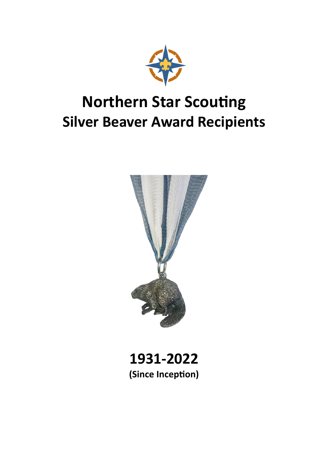

#### **Northern Star Scouting Silver Beaver Award Recipients**



**1931‐2022 (Since IncepƟon)**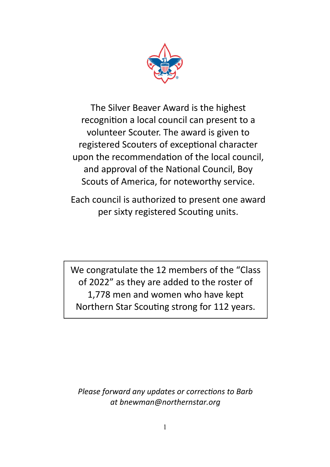

The Silver Beaver Award is the highest recognition a local council can present to a volunteer Scouter. The award is given to registered Scouters of exceptional character upon the recommendation of the local council, and approval of the National Council, Boy Scouts of America, for noteworthy service.

Each council is authorized to present one award per sixty registered Scouting units.

We congratulate the 12 members of the "Class of 2022" as they are added to the roster of 1,778 men and women who have kept Northern Star Scouting strong for 112 years.

*Please forward any updates or corrections to Barb at bnewman@northernstar.org*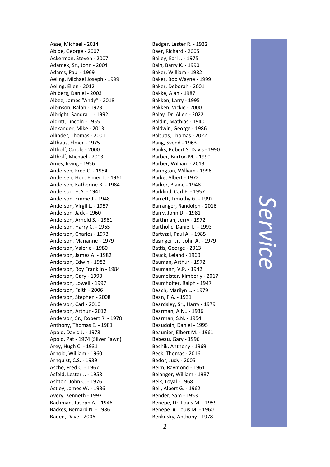Aase, Michael ‐ 2014 Abide, George ‐ 2007 Ackerman, Steven ‐ 2007 Adamek, Sr., John ‐ 2004 Adams, Paul ‐ 1969 Aeling, Michael Joseph ‐ 1999 Aeling, Ellen ‐ 2012 Ahlberg, Daniel ‐ 2003 Albee, James "Andy" ‐ 2018 Albinson, Ralph ‐ 1973 Albright, Sandra J. ‐ 1992 Aldri Ʃ, Lincoln ‐ 1955 Alexander, Mike ‐ 2013 Allinder, Thomas ‐ 2001 Althaus, Elmer ‐ 1975 Altho ff, Carole ‐ 2000 Altho ff, Michael ‐ 2003 Ames, Irving ‐ 1956 Andersen, Fred C. ‐ 1954 Andersen, Hon. Elmer L. ‐ 1961 Andersen, Katherine B. ‐ 1984 Anderson, H.A. ‐ 1941 Anderson, Emme Ʃ ‐ 1948 Anderson, Virgil L. ‐ 1957 Anderson, Jack ‐ 1960 Anderson, Arnold S. ‐ 1961 Anderson, Harry C. ‐ 1965 Anderson, Charles ‐ 1973 Anderson, Marianne ‐ 1979 Anderson, Valerie ‐ 1980 Anderson, James A. ‐ 1982 Anderson, Edwin ‐ 1983 Anderson, Roy Franklin ‐ 1984 Anderson, Gary ‐ 1990 Anderson, Lowell ‐ 1997 Anderson, Faith ‐ 2006 Anderson, Stephen ‐ 2008 Anderson, Carl ‐ 2010 Anderson, Arthur ‐ 2012 Anderson, Sr., Robert R. ‐ 1978 Anthony, Thomas E. ‐ 1981 Apold, David J. ‐ 1978 Apold, Pat ‐ 1974 (Silver Fawn) Arey, Hugh C. ‐ 1931 Arnold, William ‐ 1960 Arnquist, C.S. ‐ 1939 Asche, Fred C. ‐ 1967 Asfeld, Lester J. ‐ 1958 Ashton, John C. ‐ 1976 Astley, James W. ‐ 1936 Avery, Kenneth ‐ 1993 Bachman, Joseph A. ‐ 1946 Backes, Bernard N. ‐ 1986 Baden, Dave ‐ 2006

Badger, Lester R. ‐ 1932 Baer, Richard ‐ 2005 Bailey, Earl J. ‐ 1975 Bain, Barry K. ‐ 1990 Baker, William ‐ 1982 Baker, Bob Wayne ‐ 1999 Baker, Deborah ‐ 2001 Bakke, Alan ‐ 1987 Bakken, Larry ‐ 1995 Bakken, Vickie ‐ 2000 Balay, Dr. Allen ‐ 2022 Baldin, Mathias ‐ 1940 Baldwin, George ‐ 1986 Baltutis, Thomas - 2022 Bang, Svend ‐ 1963 Banks, Robert S. Davis ‐ 1990 Barber, Burton M. ‐ 1990 Barber, William ‐ 2013 Barington, William ‐ 1996 Barke, Albert ‐ 1972 Barker, Blaine ‐ 1948 Barklind, Carl E. ‐ 1957 Barre Ʃ, Timothy G. ‐ 1992 Barranger, Randolph ‐ 2016 Barry, John D. ‐ 1981 Barthman, Jerry ‐ 1972 Bartholic, Daniel L. ‐ 1993 Bartyzal, Paul A. ‐ 1985 Basinger, Jr., John A. ‐ 1979 Battis, George - 2013 Bauck, Leland ‐ 1960 Bauman, Arthur ‐ 1972 Baumann, V.P. ‐ 1942 Baumeister, Kimberly ‐ 2017 Baumholfer, Ralph ‐ 1947 Beach, Marilyn L. ‐ 1979 Bean, F.A. ‐ 1931 Beardsley, Sr., Harry ‐ 1979 Bearman, A.N.. ‐ 1936 Bearman, S.N. ‐ 1954 Beaudoin, Daniel ‐ 1995 Beaunier, Elbert M. ‐ 1961 Bebeau, Gary ‐ 1996 Bechik, Anthony ‐ 1969 Beck, Thomas ‐ 2016 Bedor, Judy ‐ 2005 Beim, Raymond ‐ 1961 Belanger, William ‐ 1987 Belk, Loyal ‐ 1968 Bell, Albert G. ‐ 1962 Bender, Sam ‐ 1953 Benepe, Dr. Louis M. ‐ 1959 Benepe Iii, Louis M. ‐ 1960 Benkusky, Anthony ‐ 1978

*Service*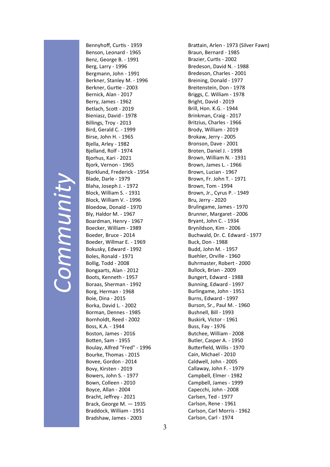## *Community*  Community

Bennyhoff, Curtis - 1959 Benson, Leonard ‐ 1965 Benz, George B. ‐ 1991 Berg, Larry ‐ 1996 Bergmann, John ‐ 1991 Berkner, Stanley M. ‐ 1996 Berkner, GurƟe ‐ 2003 Bernick, Alan ‐ 2017 Berry, James ‐ 1962 Betlach, ScoƩ ‐ 2019 Bieniasz, David ‐ 1978 Billings, Troy ‐ 2013 Bird, Gerald C. ‐ 1999 Birse, John H. ‐ 1965 Bjella, Arley ‐ 1982 Bjelland, Rolf ‐ 1974 Bjorhus, Kari ‐ 2021 Bjork, Vernon ‐ 1965 Bjorklund, Frederick ‐ 1954 Blade, Darle ‐ 1979 Blaha, Joseph J. ‐ 1972 Block, William S. ‐ 1931 Block, William V. ‐ 1996 Bloedow, Donald ‐ 1970 Bly, Haldor M. ‐ 1967 Boardman, Henry ‐ 1967 Boecker, William ‐ 1989 Boeder, Bruce ‐ 2014 Boeder, Willmar E. ‐ 1969 Bokusky, Edward ‐ 1992 Boles, Ronald ‐ 1971 Bollig, Todd ‐ 2008 Bongaarts, Alan ‐ 2012 Boots, Kenneth ‐ 1957 Boraas, Sherman ‐ 1992 Borg, Herman ‐ 1968 Boie, Dina ‐ 2015 Borka, David L. ‐ 2002 Borman, Dennes ‐ 1985 Bornholdt, Reed ‐ 2002 Boss, K.A. ‐ 1944 Boston, James ‐ 2016 Botten, Sam - 1955 Boulay, Alfred "Fred" ‐ 1996 Bourke, Thomas ‐ 2015 Bovee, Gordon ‐ 2014 Bovy, Kirsten ‐ 2019 Bowers, John S. ‐ 1977 Bown, Colleen ‐ 2010 Boyce, Allan ‐ 2004 Bracht, Jeffrey ‐ 2021 Brack, George M. — 1935 Braddock, William ‐ 1951 Bradshaw, James ‐ 2003

Brattain, Arlen - 1973 (Silver Fawn) Braun, Bernard ‐ 1985 Brazier, CurƟs ‐ 2002 Bredeson, David N. ‐ 1988 Bredeson, Charles ‐ 2001 Breining, Donald ‐ 1977 Breitenstein, Don ‐ 1978 Briggs, C. William ‐ 1978 Bright, David ‐ 2019 Brill, Hon. K.G. ‐ 1944 Brinkman, Craig ‐ 2017 Britzius, Charles ‐ 1966 Brody, William ‐ 2019 Brokaw, Jerry ‐ 2005 Bronson, Dave ‐ 2001 Broten, Daniel J. ‐ 1998 Brown, William N. ‐ 1931 Brown, James L. ‐ 1966 Brown, Lucian ‐ 1967 Brown, Fr. John T. ‐ 1971 Brown, Tom ‐ 1994 Brown, Jr., Cyrus P. ‐ 1949 Bru, Jerry ‐ 2020 Brulingame, James ‐ 1970 Brunner, Margaret ‐ 2006 Bryant, John C. ‐ 1934 Brynildson, Kim ‐ 2006 Buchwald, Dr. C. Edward ‐ 1977 Buck, Don ‐ 1988 Budd, John M. ‐ 1957 Buehler, Orville ‐ 1960 Buhrmaster, Robert ‐ 2000 Bullock, Brian ‐ 2009 Bungert, Edward ‐ 1988 Bunning, Edward ‐ 1997 Burlingame, John ‐ 1951 Burns, Edward ‐ 1997 Burson, Sr., Paul M. ‐ 1960 Bushnell, Bill ‐ 1993 Buskirk, Victor ‐ 1961 Buss, Fay ‐ 1976 Butchee, William ‐ 2008 Butler, Casper A. ‐ 1950 Butterfield, Willis - 1970 Cain, Michael ‐ 2010 Caldwell, John ‐ 2005 Callaway, John F. ‐ 1979 Campbell, Elmer ‐ 1982 Campbell, James ‐ 1999 Capecchi, John ‐ 2008 Carlsen, Ted ‐ 1977 Carlson, Rene ‐ 1961 Carlson, Carl Morris ‐ 1962 Carlson, Carl ‐ 1974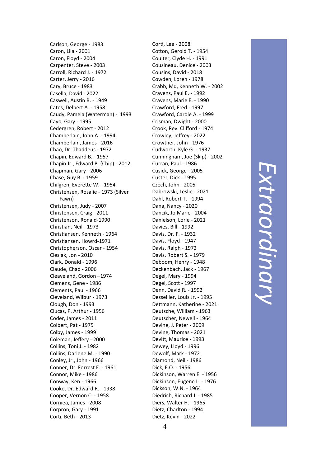Carlson, George ‐ 1983 Caron, Lila ‐ 2001 Caron, Floyd ‐ 2004 Carpenter, Steve ‐ 2003 Carroll, Richard J. ‐ 1972 Carter, Jerry ‐ 2016 Cary, Bruce ‐ 1983 Casella, David ‐ 2022 Caswell, Austin B. - 1949 Cates, Delbert A. ‐ 1958 Caudy, Pamela (Waterman) ‐ 1993 Cayo, Gary ‐ 1995 Cedergren, Robert ‐ 2012 Chamberlain, John A. ‐ 1994 Chamberlain, James ‐ 2016 Chao, Dr. Thaddeus ‐ 1972 Chapin, Edward B. ‐ 1957 Chapin Jr., Edward B. (Chip) ‐ 2012 Chapman, Gary ‐ 2006 Chase, Guy B. ‐ 1959 Chilgren, Everette W. - 1954 Christensen, Rosalie ‐ 1973 (Silver Fawn) Christensen, Judy ‐ 2007 Christensen, Craig ‐ 2011 Christenson, Ronald ‐1990 Christian, Neil - 1973 Christiansen, Kenneth - 1964 Christiansen, Howrd-1971 Christopherson, Oscar ‐ 1954 Cieslak, Jon ‐ 2010 Clark, Donald ‐ 1996 Claude, Chad ‐ 2006 Cleaveland, Gordon –1974 Clemens, Gene ‐ 1986 Clements, Paul ‐ 1966 Cleveland, Wilbur ‐ 1973 Clough, Don ‐ 1993 Clucas, P. Arthur ‐ 1956 Coder, James ‐ 2011 Colbert, Pat ‐ 1975 Colby, James ‐ 1999 Coleman, Je ffery ‐ 2000 Collins, Toni J. ‐ 1982 Collins, Darlene M. ‐ 1990 Conley, Jr., John ‐ 1966 Conner, Dr. Forrest E. ‐ 1961 Connor, Mike ‐ 1986 Conway, Ken ‐ 1966 Cooke, Dr. Edward R. ‐ 1938 Cooper, Vernon C. ‐ 1958 Corniea, James ‐ 2008 Corpron, Gary ‐ 1991 Cor Ɵ, Beth ‐ 2013

Cor Ɵ, Lee ‐ 2008 Cotton, Gerold T. - 1954 Coulter, Clyde H. ‐ 1991 Cousineau, Denice ‐ 2003 Cousins, David ‐ 2018 Cowden, Loren ‐ 1978 Crabb, Md, Kenneth W. ‐ 2002 Cravens, Paul E. ‐ 1992 Cravens, Marie E. ‐ 1990 Crawford, Fred ‐ 1997 Crawford, Carole A. ‐ 1999 Crisman, Dwight ‐ 2000 Crook, Rev. Cli fford ‐ 1974 Crowley, Je ffrey ‐ 2022 Crowther, John ‐ 1976 Cudworth, Kyle G. ‐ 1937 Cunningham, Joe (Skip) ‐ 2002 Curran, Paul ‐ 1986 Cusick, George ‐ 2005 Custer, Dick ‐ 1995 Czech, John ‐ 2005 Dabrowski, Leslie ‐ 2021 Dahl, Robert T. ‐ 1994 Dana, Nancy ‐ 2020 Dancik, Jo Marie ‐ 2004 Danielson, Lorie ‐ 2021 Davies, Bill ‐ 1992 Davis, Dr. F. ‐ 1932 Davis, Floyd ‐ 1947 Davis, Ralph ‐ 1972 Davis, Robert S. ‐ 1979 Deboom, Henry ‐ 1948 Deckenbach, Jack ‐ 1967 Degel, Mary ‐ 1994 Degel, Sco Ʃ ‐ 1997 Denn, David R. ‐ 1992 Dessellier, Louis Jr. ‐ 1995 Dettmann, Katherine - 2021 Deutsche, William ‐ 1963 Deutscher, Newell ‐ 1964 Devine, J. Peter ‐ 2009 Devine, Thomas ‐ 2021 Devi Ʃ, Maurice ‐ 1993 Dewey, Lloyd ‐ 1996 Dewolf, Mark ‐ 1972 Diamond, Neil ‐ 1986 Dick, E.O. ‐ 1956 Dickinson, Warren E. ‐ 1956 Dickinson, Eugene L. ‐ 1976 Dickson, W.N. ‐ 1964 Diedrich, Richard J. ‐ 1985 Diers, Walter H. ‐ 1965 Dietz, Charlton ‐ 1994 Dietz, Kevin ‐ 2022

*Extraordinary*  Extraordinary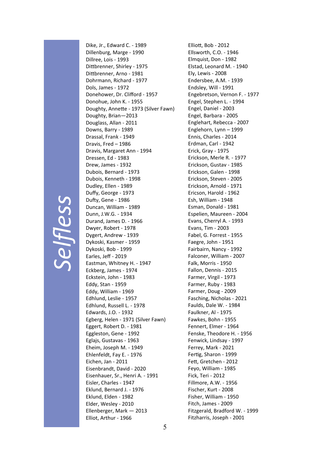# *Selfless*

Dike, Jr., Edward C. ‐ 1989 Dillenburg, Marge ‐ 1990 Dillree, Lois ‐ 1993 Dittbrenner, Shirley - 1975 Dittbrenner, Arno - 1981 Dohrmann, Richard ‐ 1977 Dols, James ‐ 1972 Donehower, Dr. Clifford ‐ 1957 Donohue, John K. ‐ 1955 Doughty, Annette - 1973 (Silver Fawn) Doughty, Brian—2013 Douglass, Allan ‐ 2011 Downs, Barry ‐ 1989 Drassal, Frank ‐ 1949 Dravis, Fred – 1986 Dravis, Margaret Ann ‐ 1994 Dressen, Ed ‐ 1983 Drew, James ‐ 1932 Dubois, Bernard ‐ 1973 Dubois, Kenneth ‐ 1998 Dudley, Ellen ‐ 1989 Duffy, George ‐ 1973 Dufty, Gene - 1986 Duncan, William ‐ 1989 Dunn, J.W.G. ‐ 1934 Durand, James D. ‐ 1966 Dwyer, Robert ‐ 1978 Dygert, Andrew ‐ 1939 Dykoski, Kasmer ‐ 1959 Dykoski, Bob ‐ 1999 Earles, Jeff ‐ 2019 Eastman, Whitney H. ‐ 1947 Eckberg, James ‐ 1974 Eckstein, John ‐ 1983 Eddy, Stan ‐ 1959 Eddy, William ‐ 1969 Edhlund, Leslie ‐ 1957 Edhlund, Russell L. ‐ 1978 Edwards, J.O. ‐ 1932 Egberg, Helen ‐ 1971 (Silver Fawn) Eggert, Robert D. ‐ 1981 Eggleston, Gene ‐ 1992 Eglajs, Gustavas ‐ 1963 Eheim, Joseph M. ‐ 1949 Ehlenfeldt, Fay E. ‐ 1976 Eichen, Jan ‐ 2011 Eisenbrandt, David ‐ 2020 Eisenhauer, Sr., Henri A. ‐ 1991 Eisler, Charles ‐ 1947 Eklund, Bernard J. ‐ 1976 Eklund, Elden ‐ 1982 Elder, Wesley ‐ 2010 Ellenberger, Mark — 2013 Elliot, Arthur ‐ 1966

Elliott, Bob - 2012 Ellsworth, C.O. ‐ 1946 Elmquist, Don ‐ 1982 Elstad, Leonard M. ‐ 1940 Ely, Lewis ‐ 2008 Endersbee, A.M. ‐ 1939 Endsley, Will ‐ 1991 Engebretson, Vernon F. ‐ 1977 Engel, Stephen L. ‐ 1994 Engel, Daniel ‐ 2003 Engel, Barbara ‐ 2005 Englehart, Rebecca ‐ 2007 Englehorn, Lynn – 1999 Ennis, Charles ‐ 2014 Erdman, Carl ‐ 1942 Erick, Gray ‐ 1975 Erickson, Merle R. ‐ 1977 Erickson, Gustav ‐ 1985 Erickson, Galen ‐ 1998 Erickson, Steven ‐ 2005 Erickson, Arnold ‐ 1971 Ericson, Harold ‐ 1962 Esh, William ‐ 1948 Esman, Donald ‐ 1981 Espelien, Maureen ‐ 2004 Evans, Cherryl A. ‐ 1993 Evans, Tim ‐ 2003 Fabel, G. Forrest ‐ 1955 Faegre, John ‐ 1951 Fairbairn, Nancy ‐ 1992 Falconer, William ‐ 2007 Falk, Morris ‐ 1950 Fallon, Dennis ‐ 2015 Farmer, Virgil ‐ 1973 Farmer, Ruby ‐ 1983 Farmer, Doug ‐ 2009 Fasching, Nicholas ‐ 2021 Faulds, Dale W. ‐ 1984 Faulkner, Al ‐ 1975 Fawkes, Bohn ‐ 1955 Fennert, Elmer ‐ 1964 Fenske, Theodore H. ‐ 1956 Fenwick, Lindsay ‐ 1997 Ferrey, Mark ‐ 2021 Fertig, Sharon - 1999 Fett, Gretchen - 2012 Feyo, William ‐ 1985 Fick, Teri ‐ 2012 Fillmore, A.W. ‐ 1956 Fischer, Kurt ‐ 2008 Fisher, William ‐ 1950 Fitch, James ‐ 2009 Fitzgerald, Bradford W. ‐ 1999 Fitzharris, Joseph ‐ 2001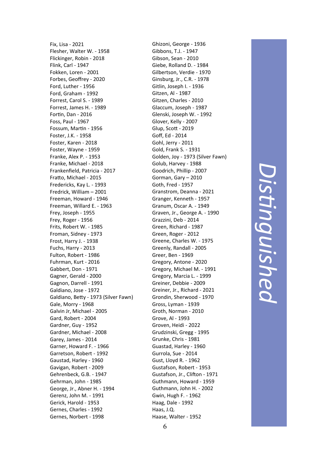Fix, Lisa ‐ 2021 Flesher, Walter W. ‐ 1958 Flickinger, Robin ‐ 2018 Flink, Carl ‐ 1947 Fokken, Loren ‐ 2001 Forbes, Geo ffrey ‐ 2020 Ford, Luther ‐ 1956 Ford, Graham ‐ 1992 Forrest, Carol S. ‐ 1989 Forrest, James H. ‐ 1989 Fortin, Dan - 2016 Foss, Paul ‐ 1967 Fossum, Martin - 1956 Foster, J.K. ‐ 1958 Foster, Karen ‐ 2018 Foster, Wayne ‐ 1959 Franke, Alex P. ‐ 1953 Franke, Michael ‐ 2018 Franken field, Patricia ‐ 2017 Fratto, Michael - 2015 Fredericks, Kay L. ‐ 1993 Fredrick, William – 2001 Freeman, Howard ‐ 1946 Freeman, Willard E. ‐ 1963 Frey, Joseph ‐ 1955 Frey, Roger ‐ 1956 Frits, Robert W. ‐ 1985 Froman, Sidney ‐ 1973 Frost, Harry J. ‐ 1938 Fuchs, Harry ‐ 2013 Fulton, Robert ‐ 1986 Fuhrman, Kurt ‐ 2016 Gabbert, Don ‐ 1971 Gagner, Gerald ‐ 2000 Gagnon, Darrell ‐ 1991 Galdiano, Jose ‐ 1972 Galdiano, Betty - 1973 (Silver Fawn) Gale, Morry ‐ 1968 Galvin Jr, Michael ‐ 2005 Gard, Robert ‐ 2004 Gardner, Guy ‐ 1952 Gardner, Michael ‐ 2008 Garey, James ‐ 2014 Garner, Howard F. ‐ 1966 Garretson, Robert ‐ 1992 Gaustad, Harley ‐ 1960 Gavigan, Robert ‐ 2009 Gehrenbeck, G.B. ‐ 1947 Gehrman, John ‐ 1985 George, Jr., Abner H. ‐ 1994 Gerenz, John M. ‐ 1991 Gerick, Harold ‐ 1953 Gernes, Charles ‐ 1992 Gernes, Norbert ‐ 1998

Ghizoni, George ‐ 1936 Gibbons, T.J. ‐ 1947 Gibson, Sean ‐ 2010 Giebe, Rolland D. ‐ 1984 Gilbertson, Verdie ‐ 1970 Ginsburg, Jr., C.R. ‐ 1978 Gitlin, Joseph I. ‐ 1936 Gitzen, Al ‐ 1987 Gitzen, Charles ‐ 2010 Glaccum, Joseph ‐ 1987 Glenski, Joseph W. ‐ 1992 Glover, Kelly ‐ 2007 Glup, Sco Ʃ ‐ 2019 Go ff, Ed ‐ 2014 Gohl, Jerry ‐ 2011 Gold, Frank S. ‐ 1931 Golden, Joy ‐ 1973 (Silver Fawn) Golub, Harvey ‐ 1988 Goodrich, Phillip ‐ 2007 Gorman, Gary – 2010 Goth, Fred ‐ 1957 Granstrom, Deanna ‐ 2021 Granger, Kenneth ‐ 1957 Granum, Oscar A. ‐ 1949 Graven, Jr., George A. ‐ 1990 Grazzini, Deb ‐ 2014 Green, Richard ‐ 1987 Green, Roger ‐ 2012 Greene, Charles W. ‐ 1975 Greenly, Randall ‐ 2005 Greer, Ben ‐ 1969 Gregory, Antone ‐ 2020 Gregory, Michael M. ‐ 1991 Gregory, Marcia L. ‐ 1999 Greiner, Debbie ‐ 2009 Greiner, Jr., Richard ‐ 2021 Grondin, Sherwood ‐ 1970 Gross, Lyman ‐ 1939 Groth, Norman ‐ 2010 Grove, Al ‐ 1993 Groven, Heidi ‐ 2022 Grudzinski, Gregg ‐ 1995 Grunke, Chris ‐ 1981 Guastad, Harley ‐ 1960 Gurrola, Sue ‐ 2014 Gust, Lloyd R. ‐ 1962 Gustafson, Robert ‐ 1953 Gustafson, Jr., Clifton - 1971 Guthmann, Howard ‐ 1959 Guthmann, John H. ‐ 2002 Gwin, Hugh F. ‐ 1962 Haag, Dale ‐ 1992 Haas, J.Q. Haase, Walter ‐ 1952

#### *DisƟnguished*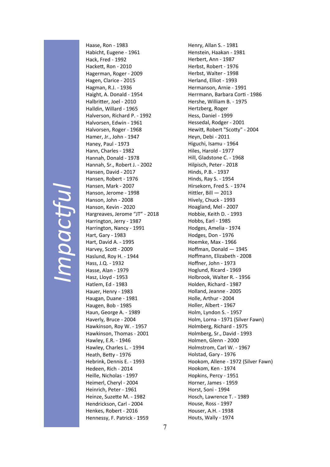#### *Impac ƞul*

Haase, Ron ‐ 1983 Habicht, Eugene ‐ 1961 Hack, Fred ‐ 1992 HackeƩ, Ron ‐ 2010 Hagerman, Roger ‐ 2009 Hagen, Clarice ‐ 2015 Hagman, R.J. ‐ 1936 Haight, A. Donald ‐ 1954 Halbritter, Joel - 2010 Halldin, Willard ‐ 1965 Halverson, Richard P. ‐ 1992 Halvorsen, Edwin ‐ 1961 Halvorsen, Roger ‐ 1968 Hamer, Jr., John ‐ 1947 Haney, Paul ‐ 1973 Hann, Charles ‐ 1982 Hannah, Donald ‐ 1978 Hannah, Sr., Robert J. ‐ 2002 Hansen, David ‐ 2017 Hansen, Robert ‐ 1976 Hansen, Mark ‐ 2007 Hanson, Jerome ‐ 1998 Hanson, John ‐ 2008 Hanson, Kevin ‐ 2020 Hargreaves, Jerome "JT" ‐ 2018 Harrington, Jerry ‐ 1987 Harrington, Nancy ‐ 1991 Hart, Gary ‐ 1983 Hart, David A. ‐ 1995 Harvey, Scott - 2009 Haslund, Roy H. ‐ 1944 Hass, J.Q. ‐ 1932 Hasse, Alan ‐ 1979 Hasz, Lloyd ‐ 1953 Hatlem, Ed ‐ 1983 Hauer, Henry ‐ 1983 Haugan, Duane ‐ 1981 Haugen, Bob ‐ 1985 Haun, George A. ‐ 1989 Haverly, Bruce ‐ 2004 Hawkinson, Roy W. ‐ 1957 Hawkinson, Thomas ‐ 2001 Hawley, E.R. ‐ 1946 Hawley, Charles L. ‐ 1994 Heath, BeƩy ‐ 1976 Hebrink, Dennis E. ‐ 1993 Hedeen, Rich ‐ 2014 Heille, Nicholas ‐ 1997 Heimerl, Cheryl ‐ 2004 Heinrich, Peter ‐ 1961 Heinze, Suzette M. - 1982 Hendrickson, Carl ‐ 2004 Henkes, Robert ‐ 2016 Hennessy, F. Patrick ‐ 1959

Henry, Allan S. ‐ 1981 Henstein, Haakan ‐ 1981 Herbert, Ann ‐ 1987 Herbst, Robert ‐ 1976 Herbst, Walter ‐ 1998 Herland, Elliot ‐ 1993 Hermanson, Arnie ‐ 1991 Herrmann, Barbara Corti - 1986 Hershe, William B. ‐ 1975 Hertzberg, Roger Hess, Daniel ‐ 1999 Hessedal, Rodger ‐ 2001 Hewitt, Robert "Scotty" - 2004 Heyn, Debi ‐ 2011 Higuchi, Isamu ‐ 1964 Hiles, Harold ‐ 1977 Hill, Gladstone C. ‐ 1968 Hilpisch, Peter ‐ 2018 Hinds, P.B. ‐ 1937 Hinds, Ray S. ‐ 1954 Hirsekorn, Fred S. ‐ 1974 Hittler, Bill - 2013 Hively, Chuck ‐ 1993 Hoagland, Mel ‐ 2007 Hobbie, Keith D. ‐ 1993 Hobbs, Earl ‐ 1985 Hodges, Amelia ‐ 1974 Hodges, Don ‐ 1976 Hoemke, Max ‐ 1966 Hoffman, Donald — 1945 Hoffmann, Elizabeth ‐ 2008 Hoffner, John ‐ 1973 Hoglund, Ricard ‐ 1969 Holbrook, Walter R. ‐ 1956 Holden, Richard ‐ 1987 Holland, Jeanne ‐ 2005 Holle, Arthur ‐ 2004 Holler, Albert ‐ 1967 Holm, Lyndon S. ‐ 1957 Holm, Lorna ‐ 1971 (Silver Fawn) Holmberg, Richard ‐ 1975 Holmberg, Sr., David ‐ 1993 Holmen, Glenn ‐ 2000 Holmstrom, Carl W. ‐ 1967 Holstad, Gary ‐ 1976 Hookom, Allene ‐ 1972 (Silver Fawn) Hookom, Ken ‐ 1974 Hopkins, Percy ‐ 1951 Horner, James ‐ 1959 Horst, Soni ‐ 1994 Hosch, Lawrence T. ‐ 1989 House, Ross ‐ 1997 Houser, A.H. ‐ 1938 Houts, Wally ‐ 1974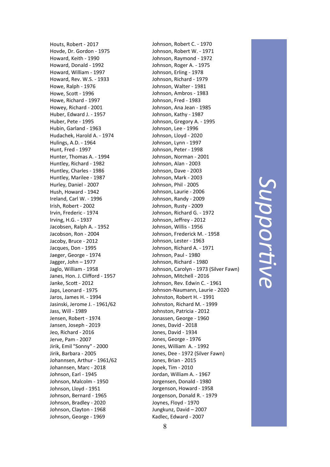Houts, Robert ‐ 2017 Hovde, Dr. Gordon ‐ 1975 Howard, Keith ‐ 1990 Howard, Donald ‐ 1992 Howard, William ‐ 1997 Howard, Rev. W.S. ‐ 1933 Howe, Ralph ‐ 1976 Howe, Sco Ʃ ‐ 1996 Howe, Richard ‐ 1997 Howey, Richard ‐ 2001 Huber, Edward J. ‐ 1957 Huber, Pete ‐ 1995 Hubin, Garland ‐ 1963 Hudachek, Harold A. ‐ 1974 Hulings, A.D. ‐ 1964 Hunt, Fred ‐ 1997 Hunter, Thomas A. ‐ 1994 Huntley, Richard ‐ 1982 Huntley, Charles ‐ 1986 Huntley, Marilee ‐ 1987 Hurley, Daniel ‐ 2007 Hush, Howard ‐ 1942 Ireland, Carl W. ‐ 1996 Irish, Robert ‐ 2002 Irvin, Frederic ‐ 1974 Irving, H.G. ‐ 1937 Jacobsen, Ralph A. ‐ 1952 Jacobson, Ron ‐ 2004 Jacoby, Bruce ‐ 2012 Jacques, Don ‐ 1995 Jaeger, George ‐ 1974 Jagger, John – 1977 Jaglo, William ‐ 1958 Janes, Hon. J. Cli fford ‐ 1957 Janke, Scott - 2012 Japs, Leonard ‐ 1975 Jaros, James H. ‐ 1994 Jasinski, Jerome J. ‐ 1961/62 Jass, Will ‐ 1989 Jensen, Robert ‐ 1974 Jansen, Joseph ‐ 2019 Jeo, Richard ‐ 2016 Jerve, Pam ‐ 2007 Jirik, Emil "Sonny" ‐ 2000 Jirik, Barbara ‐ 2005 Johannsen, Arthur ‐ 1961/62 Johannsen, Marc ‐ 2018 Johnson, Earl ‐ 1945 Johnson, Malcolm ‐ 1950 Johnson, Lloyd ‐ 1951 Johnson, Bernard ‐ 1965 Johnson, Bradley ‐ 2020 Johnson, Clayton ‐ 1968 Johnson, George ‐ 1969

Johnson, Robert C. ‐ 1970 Johnson, Robert W. ‐ 1971 Johnson, Raymond ‐ 1972 Johnson, Roger A. ‐ 1975 Johnson, Erling ‐ 1978 Johnson, Richard ‐ 1979 Johnson, Walter ‐ 1981 Johnson, Ambros ‐ 1983 Johnson, Fred ‐ 1983 Johnson, Ana Jean ‐ 1985 Johnson, Kathy ‐ 1987 Johnson, Gregory A. ‐ 1995 Johnson, Lee ‐ 1996 Johnson, Lloyd ‐ 2020 Johnson, Lynn ‐ 1997 Johnson, Peter ‐ 1998 Johnson, Norman ‐ 2001 Johnson, Alan ‐ 2003 Johnson, Dave ‐ 2003 Johnson, Mark ‐ 2003 Johnson, Phil ‐ 2005 Johnson, Laurie ‐ 2006 Johnson, Randy ‐ 2009 Johnson, Rusty ‐ 2009 Johnson, Richard G. ‐ 1972 Johnson, Je ffrey ‐ 2012 Johnson, Willis ‐ 1956 Johnson, Frederick M. ‐ 1958 Johnson, Lester ‐ 1963 Johnson, Richard A. ‐ 1971 Johnson, Paul ‐ 1980 Johnson, Richard ‐ 1980 Johnson, Carolyn ‐ 1973 (Silver Fawn) Johnson, Mitchell ‐ 2016 Johnson, Rev. Edwin C. ‐ 1961 Johnson ‐Naumann, Laurie ‐ 2020 Johnston, Robert H. ‐ 1991 Johnston, Richard M. ‐ 1999 Johnston, Patricia ‐ 2012 Jonassen, George ‐ 1960 Jones, David ‐ 2018 Jones, David ‐ 1934 Jones, George ‐ 1976 Jones, William A. ‐ 1992 Jones, Dee ‐ 1972 (Silver Fawn) Jones, Brian ‐ 2015 Jopek, Tim ‐ 2010 Jordan, William A. ‐ 1967 Jorgensen, Donald ‐ 1980 Jorgenson, Howard ‐ 1958 Jorgenson, Donald R. ‐ 1979 Joynes, Floyd ‐ 1970 Jungkunz, David – 2007 Kadlec, Edward ‐ 2007

*Suppor***d**. *ve*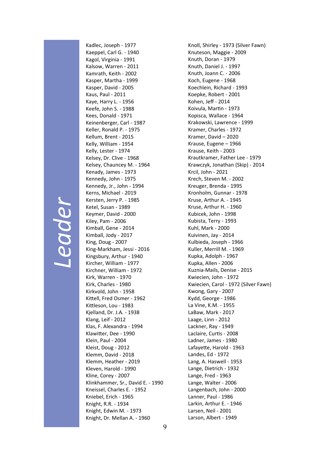# *Leader*

Kadlec, Joseph ‐ 1977 Kaeppel, Carl G. ‐ 1940 Kagol, Virginia ‐ 1991 Kalsow, Warren ‐ 2011 Kamrath, Keith ‐ 2002 Kasper, Martha ‐ 1999 Kasper, David ‐ 2005 Kaus, Paul ‐ 2011 Kaye, Harry L. ‐ 1956 Keefe, John S. ‐ 1988 Kees, Donald ‐ 1971 Keinenberger, Carl ‐ 1987 Keller, Ronald P. ‐ 1975 Kellum, Brent ‐ 2015 Kelly, William ‐ 1954 Kelly, Lester ‐ 1974 Kelsey, Dr. Clive ‐ 1968 Kelsey, Chauncey M. ‐ 1964 Kenady, James ‐ 1973 Kennedy, John ‐ 1975 Kennedy, Jr., John ‐ 1994 Kerns, Michael ‐ 2019 Kersten, Jerry P. ‐ 1985 Ketel, Susan ‐ 1989 Keymer, David ‐ 2000 Kiley, Pam ‐ 2006 Kimball, Gene ‐ 2014 Kimball, Jody ‐ 2017 King, Doug ‐ 2007 King‐Markham, Jessi ‐ 2016 Kingsbury, Arthur ‐ 1940 Kircher, William ‐ 1977 Kirchner, William ‐ 1972 Kirk, Warren ‐ 1970 Kirk, Charles ‐ 1980 Kirkvold, John ‐ 1958 Kittell, Fred Osmer - 1962 Kittleson, Lou - 1983 Kjelland, Dr. J.A. ‐ 1938 Klang, Leif ‐ 2012 Klas, F. Alexandra ‐ 1994 KlawiƩer, Dee ‐ 1990 Klein, Paul ‐ 2004 Kleist, Doug ‐ 2012 Klemm, David ‐ 2018 Klemm, Heather ‐ 2019 Kleven, Harold ‐ 1990 Kline, Corey ‐ 2007 Klinkhammer, Sr., David E. ‐ 1990 Kneissel, Charles E. ‐ 1952 Kniebel, Erich ‐ 1965 Knight, R.R. ‐ 1934 Knight, Edwin M. ‐ 1973 Knight, Dr. Mellan A. ‐ 1960

Knoll, Shirley ‐ 1973 (Silver Fawn) Knuteson, Maggie ‐ 2009 Knuth, Doran ‐ 1979 Knuth, Daniel J. ‐ 1997 Knuth, Joann C. ‐ 2006 Koch, Eugene ‐ 1968 Koechlein, Richard ‐ 1993 Koepke, Robert ‐ 2001 Kohen, Jeff ‐ 2014 Koivula, MarƟn ‐ 1973 Kopisca, Wallace ‐ 1964 Krakowski, Lawrence ‐ 1999 Kramer, Charles ‐ 1972 Kramer, David – 2020 Krause, Eugene – 1966 Krause, Keith ‐ 2003 Krautkramer, Father Lee ‐ 1979 Krawczyk, Jonathan (Skip) ‐ 2014 Krcil, John ‐ 2021 Krech, Steven M. ‐ 2002 Kreuger, Brenda ‐ 1995 Kronholm, Gunnar ‐ 1978 Kruse, Arthur A. ‐ 1945 Kruse, Arthur H. ‐ 1960 Kubicek, John ‐ 1998 Kubista, Terry ‐ 1993 Kuhl, Mark ‐ 2000 Kuivinen, Jay ‐ 2014 Kulbieda, Joseph ‐ 1966 Kuller, Merrill M. ‐ 1969 Kupka, Adolph ‐ 1967 Kupka, Allen ‐ 2006 Kuznia‐Mails, Denise ‐ 2015 Kwiecien, John ‐ 1972 Kwiecien, Carol ‐ 1972 (Silver Fawn) Kwong, Gary ‐ 2007 Kydd, George ‐ 1986 La Vine, K.M. ‐ 1955 LaBaw, Mark ‐ 2017 Laage, Linn ‐ 2012 Lackner, Ray ‐ 1949 Laclaire, CurƟs ‐ 2008 Ladner, James ‐ 1980 Lafayette, Harold - 1963 Landes, Ed ‐ 1972 Lang, A. Haswell ‐ 1953 Lange, Dietrich ‐ 1932 Lange, Fred ‐ 1963 Lange, Walter ‐ 2006 Langenbach, John ‐ 2000 Lanner, Paul ‐ 1986 Larkin, Arthur E. ‐ 1946 Larsen, Neil ‐ 2001 Larson, Albert ‐ 1949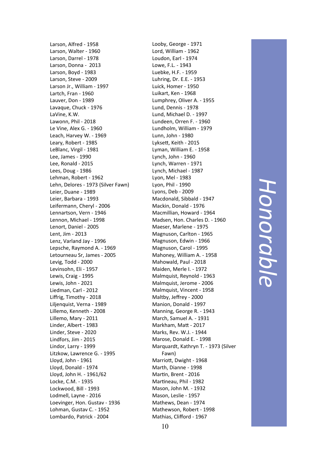Larson, Alfred ‐ 1958 Larson, Walter ‐ 1960 Larson, Darrel ‐ 1978 Larson, Donna ‐ 2013 Larson, Boyd ‐ 1983 Larson, Steve ‐ 2009 Larson Jr., William ‐ 1997 Lartch, Fran ‐ 1960 Lauver, Don ‐ 1989 Lavaque, Chuck ‐ 1976 LaVine, K.W. Lawonn, Phil ‐ 2018 Le Vine, Alex G. ‐ 1960 Leach, Harvey W. ‐ 1969 Leary, Robert ‐ 1985 LeBlanc, Virgil ‐ 1981 Lee, James ‐ 1990 Lee, Ronald ‐ 2015 Lees, Doug ‐ 1986 Lehman, Robert ‐ 1962 Lehn, Delores ‐ 1973 (Silver Fawn) Leier, Duane ‐ 1989 Leier, Barbara ‐ 1993 Leifermann, Cheryl ‐ 2006 Lennartson, Vern ‐ 1946 Lennon, Michael ‐ 1998 Lenort, Daniel ‐ 2005 Lent, Jim ‐ 2013 Lenz, Varland Jay ‐ 1996 Lepsche, Raymond A. ‐ 1969 Letourneau Sr, James ‐ 2005 Levig, Todd ‐ 2000 Levinsohn, Eli ‐ 1957 Lewis, Craig ‐ 1995 Lewis, John ‐ 2021 Liedman, Carl ‐ 2012 Liffrig, Timothy ‐ 2018 Liljenquist, Verna ‐ 1989 Lillemo, Kenneth ‐ 2008 Lillemo, Mary ‐ 2011 Linder, Albert ‐ 1983 Linder, Steve ‐ 2020 Lindfors, Jim ‐ 2015 Lindor, Larry ‐ 1999 Litzkow, Lawrence G. ‐ 1995 Lloyd, John ‐ 1961 Lloyd, Donald ‐ 1974 Lloyd, John H. ‐ 1961/62 Locke, C.M. ‐ 1935 Lockwood, Bill ‐ 1993 Lodmell, Layne ‐ 2016 Loevinger, Hon. Gustav ‐ 1936 Lohman, Gustav C. ‐ 1952 Lombardo, Patrick ‐ 2004

Looby, George ‐ 1971 Lord, William ‐ 1962 Loudon, Earl ‐ 1974 Lowe, F.L. ‐ 1943 Luebke, H.F. ‐ 1959 Luhring, Dr. E.E. ‐ 1953 Luick, Homer ‐ 1950 Luikart, Ken ‐ 1968 Lumphrey, Oliver A. ‐ 1955 Lund, Dennis ‐ 1978 Lund, Michael D. ‐ 1997 Lundeen, Orren F. ‐ 1960 Lundholm, William ‐ 1979 Lunn, John ‐ 1980 LykseƩ, Keith ‐ 2015 Lyman, William E. ‐ 1958 Lynch, John ‐ 1960 Lynch, Warren ‐ 1971 Lynch, Michael ‐ 1987 Lyon, Mel ‐ 1983 Lyon, Phil ‐ 1990 Lyons, Deb ‐ 2009 Macdonald, Sibbald ‐ 1947 Mackin, Donald ‐ 1976 Macmillian, Howard ‐ 1964 Madsen, Hon. Charles D. ‐ 1960 Maeser, Marlene ‐ 1975 Magnuson, Carlton ‐ 1965 Magnuson, Edwin ‐ 1966 Magnuson, Carol ‐ 1995 Mahoney, William A. ‐ 1958 Mahowald, Paul ‐ 2018 Maiden, Merle I. ‐ 1972 Malmquist, Reynold ‐ 1963 Malmquist, Jerome ‐ 2006 Malmquist, Vincent ‐ 1958 Maltby, Jeffrey ‐ 2000 Manion, Donald ‐ 1997 Manning, George R. ‐ 1943 March, Samuel A. ‐ 1931 Markham, MaƩ ‐ 2017 Marks, Rev. W.J. ‐ 1944 Marose, Donald E. ‐ 1998 Marquardt, Kathryn T. ‐ 1973 (Silver Fawn) MarrioƩ, Dwight ‐ 1968 Marth, Dianne ‐ 1998 Martin, Brent - 2016 Martineau, Phil - 1982 Mason, John M. ‐ 1932 Mason, Leslie ‐ 1957 Mathews, Dean ‐ 1974 Mathewson, Robert ‐ 1998 Mathias, Clifford ‐ 1967

### Honorable *Honorable*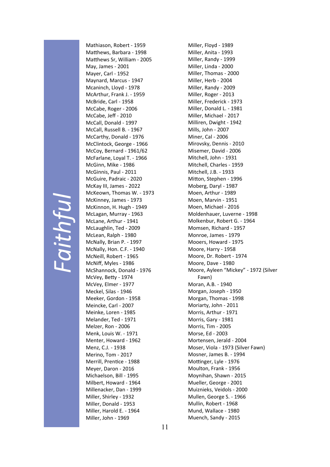# *Faithful*

Mathiason, Robert ‐ 1959 Matthews, Barbara - 1998 Matthews Sr, William - 2005 May, James ‐ 2001 Mayer, Carl ‐ 1952 Maynard, Marcus ‐ 1947 Mcaninch, Lloyd ‐ 1978 McArthur, Frank J. ‐ 1959 McBride, Carl ‐ 1958 McCabe, Roger ‐ 2006 McCabe, Jeff ‐ 2010 McCall, Donald ‐ 1997 McCall, Russell B. ‐ 1967 McCarthy, Donald ‐ 1976 McClintock, George ‐ 1966 McCoy, Bernard ‐ 1961/62 McFarlane, Loyal T. ‐ 1966 McGinn, Mike ‐ 1986 McGinnis, Paul ‐ 2011 McGuire, Padraic ‐ 2020 McKay III, James ‐ 2022 McKeown, Thomas W. ‐ 1973 McKinney, James ‐ 1973 McKinnon, H. Hugh ‐ 1949 McLagan, Murray ‐ 1963 McLane, Arthur ‐ 1941 McLaughlin, Ted ‐ 2009 McLean, Ralph ‐ 1980 McNally, Brian P. ‐ 1997 McNally, Hon. C.F. ‐ 1940 McNeill, Robert ‐ 1965 McNiff, Myles ‐ 1986 McShannock, Donald ‐ 1976 McVey, BeƩy ‐ 1974 McVey, Elmer ‐ 1977 Meckel, Silas ‐ 1946 Meeker, Gordon ‐ 1958 Meincke, Carl ‐ 2007 Meinke, Loren ‐ 1985 Melander, Ted ‐ 1971 Melzer, Ron ‐ 2006 Menk, Louis W. ‐ 1971 Menter, Howard ‐ 1962 Menz, C.J. ‐ 1938 Merino, Tom ‐ 2017 Merrill, Prentice - 1988 Meyer, Daron ‐ 2016 Michaelson, Bill ‐ 1995 Milbert, Howard ‐ 1964 Millenacker, Dan ‐ 1999 Miller, Shirley ‐ 1932 Miller, Donald ‐ 1953 Miller, Harold E. ‐ 1964 Miller, John ‐ 1969

Miller, Floyd ‐ 1989 Miller, Anita ‐ 1993 Miller, Randy ‐ 1999 Miller, Linda ‐ 2000 Miller, Thomas ‐ 2000 Miller, Herb ‐ 2004 Miller, Randy ‐ 2009 Miller, Roger ‐ 2013 Miller, Frederick ‐ 1973 Miller, Donald L. ‐ 1981 Miller, Michael ‐ 2017 Milliren, Dwight ‐ 1942 Mills, John ‐ 2007 Miner, Cal ‐ 2006 Mirovsky, Dennis ‐ 2010 Misemer, David ‐ 2006 Mitchell, John ‐ 1931 Mitchell, Charles ‐ 1959 Mitchell, J.B. ‐ 1933 Mitton, Stephen - 1996 Moberg, Daryl ‐ 1987 Moen, Arthur ‐ 1989 Moen, Marvin ‐ 1951 Moen, Michael ‐ 2016 Moldenhauer, Luverne ‐ 1998 Molkenbur, Robert G. ‐ 1964 Momsen, Richard ‐ 1957 Monroe, James ‐ 1979 Mooers, Howard ‐ 1975 Moore, Harry ‐ 1958 Moore, Dr. Robert ‐ 1974 Moore, Dave ‐ 1980 Moore, Ayleen "Mickey" ‐ 1972 (Silver Fawn) Moran, A.B. ‐ 1940 Morgan, Joseph ‐ 1950 Morgan, Thomas ‐ 1998 Moriarty, John ‐ 2011 Morris, Arthur ‐ 1971 Morris, Gary ‐ 1981 Morris, Tim ‐ 2005 Morse, Ed ‐ 2003 Mortensen, Jerald ‐ 2004 Moser, Viola ‐ 1973 (Silver Fawn) Mosner, James B. ‐ 1994 Mottinger, Lyle - 1976 Moulton, Frank ‐ 1956 Moynihan, Shawn ‐ 2015 Mueller, George ‐ 2001 Muiznieks, Veidols ‐ 2000 Mullen, George S. ‐ 1966 Mullin, Robert ‐ 1968 Mund, Wallace ‐ 1980 Muench, Sandy ‐ 2015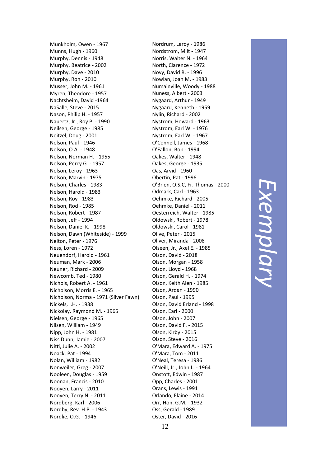Munkholm, Owen ‐ 1967 Munns, Hugh ‐ 1960 Murphy, Dennis ‐ 1948 Murphy, Beatrice ‐ 2002 Murphy, Dave ‐ 2010 Murphy, Ron ‐ 2010 Musser, John M. ‐ 1961 Myren, Theodore ‐ 1957 Nachtsheim, David ‐1964 NaSalle, Steve ‐ 2015 Nason, Philip H. ‐ 1957 Nauertz, Jr., Roy P. ‐ 1990 Neilsen, George ‐ 1985 Neitzel, Doug ‐ 2001 Nelson, Paul ‐ 1946 Nelson, O.A. ‐ 1948 Nelson, Norman H. ‐ 1955 Nelson, Percy G. ‐ 1957 Nelson, Leroy ‐ 1963 Nelson, Marvin ‐ 1975 Nelson, Charles ‐ 1983 Nelson, Harold ‐ 1983 Nelson, Roy ‐ 1983 Nelson, Rod ‐ 1985 Nelson, Robert ‐ 1987 Nelson, Jeff ‐ 1994 Nelson, Daniel K. ‐ 1998 Nelson, Dawn (Whiteside) ‐ 1999 Nelton, Peter ‐ 1976 Ness, Loren ‐ 1972 Neuendorf, Harold ‐ 1961 Neuman, Mark ‐ 2006 Neuner, Richard ‐ 2009 Newcomb, Ted ‐ 1980 Nichols, Robert A. ‐ 1961 Nicholson, Morris E. ‐ 1965 Nicholson, Norma ‐ 1971 (Silver Fawn) Nickels, I.H. ‐ 1938 Nickolay, Raymond M. ‐ 1965 Nielsen, George ‐ 1965 Nilsen, William ‐ 1949 Nipp, John H. ‐ 1981 Niss Dunn, Jamie ‐ 2007 Niƫ, Julie A. ‐ 2002 Noack, Pat ‐ 1994 Nolan, William ‐ 1982 Nonweiler, Greg ‐ 2007 Nooleen, Douglas ‐ 1959 Noonan, Francis ‐ 2010 Nooyen, Larry ‐ 2011 Nooyen, Terry N. ‐ 2011 Nordberg, Karl ‐ 2006 Nordby, Rev. H.P. ‐ 1943 Nordlie, O.G. ‐ 1946

Nordrum, Leroy ‐ 1986 Nordstrom, Milt ‐ 1947 Norris, Walter N. ‐ 1964 North, Clarence ‐ 1972 Novy, David R. ‐ 1996 Nowlan, Joan M. ‐ 1983 Numainville, Woody ‐ 1988 Nuness, Albert ‐ 2003 Nygaard, Arthur ‐ 1949 Nygaard, Kenneth ‐ 1959 Nylin, Richard ‐ 2002 Nystrom, Howard ‐ 1963 Nystrom, Earl W. ‐ 1976 Nystrom, Earl W. ‐ 1967 O'Connell, James ‐ 1968 O'Fallon, Bob ‐ 1994 Oakes, Walter ‐ 1948 Oakes, George ‐ 1935 Oas, Arvid ‐ 1960 Obertin, Pat - 1996 O'Brien, O.S.C, Fr. Thomas ‐ 2000 Odmark, Carl ‐ 1963 Oehmke, Richard ‐ 2005 Oehmke, Daniel ‐ 2011 Oesterreich, Walter ‐ 1985 Oldowski, Robert ‐ 1978 Oldowski, Carol ‐ 1981 Olive, Peter ‐ 2015 Oliver, Miranda ‐ 2008 Olseen, Jr., Axel E. ‐ 1985 Olson, David ‐ 2018 Olson, Morgan ‐ 1958 Olson, Lloyd ‐ 1968 Olson, Gerald H. ‐ 1974 Olson, Keith Alen ‐ 1985 Olson, Arden ‐ 1990 Olson, Paul ‐ 1995 Olson, David Erland ‐ 1998 Olson, Earl ‐ 2000 Olson, John ‐ 2007 Olson, David F. ‐ 2015 Olson, Kirby ‐ 2015 Olson, Steve ‐ 2016 O'Mara, Edward A. ‐ 1975 O'Mara, Tom ‐ 2011 O'Neal, Teresa ‐ 1986 O'Neill, Jr., John L. ‐ 1964 OnstoƩ, Edwin ‐ 1987 Opp, Charles ‐ 2001 Orans, Lewis ‐ 1991 Orlando, Elaine ‐ 2014 Orr, Hon. G.M. ‐ 1932 Oss, Gerald ‐ 1989 Oster, David ‐ 2016

*Exemplary*  Exemplary

12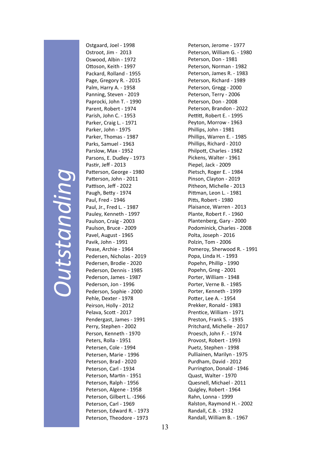# *Outstanding*  Outstanding

Ostgaard, Joel ‐ 1998 Ostroot, Jim ‐ 2013 Oswood, Albin ‐ 1972 O Ʃoson, Keith ‐ 1997 Packard, Rolland ‐ 1955 Page, Gregory R. ‐ 2015 Palm, Harry A. ‐ 1958 Panning, Steven ‐ 2019 Paprocki, John T. ‐ 1990 Parent, Robert ‐ 1974 Parish, John C. ‐ 1953 Parker, Craig L. ‐ 1971 Parker, John ‐ 1975 Parker, Thomas ‐ 1987 Parks, Samuel ‐ 1963 Parslow, Max ‐ 1952 Parsons, E. Dudley ‐ 1973 Pastir, Jeff - 2013 Patterson, George - 1980 Patterson, John - 2011 Pattison, Jeff - 2022 Paugh, Betty - 1974 Paul, Fred ‐ 1946 Paul, Jr., Fred L. ‐ 1987 Pauley, Kenneth ‐ 1997 Paulson, Craig ‐ 2003 Paulson, Bruce ‐ 2009 Pavel, August ‐ 1965 Pavik, John ‐ 1991 Pease, Archie ‐ 1964 Pedersen, Nicholas ‐ 2019 Pedersen, Brodie ‐ 2020 Pederson, Dennis ‐ 1985 Pederson, James ‐ 1987 Pederson, Jon ‐ 1996 Pederson, Sophie ‐ 2000 Pehle, Dexter ‐ 1978 Peirson, Holly ‐ 2012 Pelava, Sco Ʃ ‐ 2017 Pendergast, James ‐ 1991 Perry, Stephen ‐ 2002 Person, Kenneth ‐ 1970 Peters, Rolla ‐ 1951 Petersen, Cole ‐ 1994 Petersen, Marie ‐ 1996 Peterson, Brad ‐ 2020 Peterson, Carl ‐ 1934 Peterson, Martin - 1951 Peterson, Ralph ‐ 1956 Peterson, Algene ‐ 1958 Peterson, Gilbert L. ‐1966 Peterson, Carl ‐ 1969 Peterson, Edward R. ‐ 1973 Peterson, Theodore ‐ 1973

Peterson, Jerome ‐ 1977 Peterson, William G. ‐ 1980 Peterson, Don ‐ 1981 Peterson, Norman ‐ 1982 Peterson, James R. ‐ 1983 Peterson, Richard ‐ 1989 Peterson, Gregg ‐ 2000 Peterson, Terry ‐ 2006 Peterson, Don ‐ 2008 Peterson, Brandon ‐ 2022 Pettitt, Robert E. - 1995 Peyton, Morrow ‐ 1963 Phillips, John ‐ 1981 Phillips, Warren E. ‐ 1985 Phillips, Richard ‐ 2010 Philpo Ʃ, Charles ‐ 1982 Pickens, Walter ‐ 1961 Piepel, Jack ‐ 2009 Pietsch, Roger E. ‐ 1984 Pinson, Clayton ‐ 2019 Pitheon, Michelle ‐ 2013 Pittman, Leon L. - 1981 Pitts, Robert - 1980 Plaisance, Warren ‐ 2013 Plante, Robert F. ‐ 1960 Plantenberg, Gary ‐ 2000 Podominick, Charles ‐ 2008 Polta, Joseph ‐ 2016 Polzin, Tom ‐ 2006 Pomeroy, Sherwood R. ‐ 1991 Popa, Linda H. ‐ 1993 Popehn, Phillip ‐ 1990 Popehn, Greg ‐ 2001 Porter, William ‐ 1948 Porter, Verne B. ‐ 1985 Porter, Kenneth ‐ 1999 Potter, Lee A. - 1954 Prekker, Ronald ‐ 1983 Prentice, William - 1971 Preston, Frank S. ‐ 1935 Pritchard, Michelle ‐ 2017 Proesch, John F. ‐ 1974 Provost, Robert ‐ 1993 Puetz, Stephen ‐ 1998 Pulliainen, Marilyn ‐ 1975 Purdham, David ‐ 2012 Purrington, Donald ‐ 1946 Quast, Walter ‐ 1970 Quesnell, Michael ‐ 2011 Quigley, Robert ‐ 1964 Rahn, Lonna ‐ 1999 Ralston, Raymond H. ‐ 2002 Randall, C.B. ‐ 1932 Randall, William B. ‐ 1967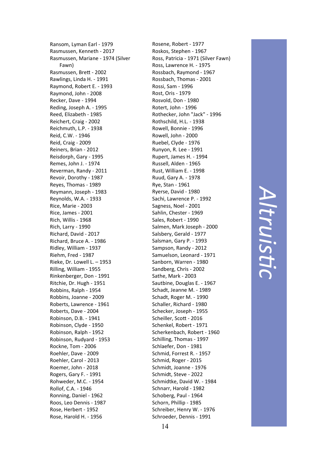Ransom, Lyman Earl ‐ 1979 Rasmussen, Kenneth ‐ 2017 Rasmussen, Mariane ‐ 1974 (Silver Fawn) Rasmussen, BreƩ ‐ 2002 Rawlings, Linda H. ‐ 1991 Raymond, Robert E. ‐ 1993 Raymond, John ‐ 2008 Recker, Dave ‐ 1994 Reding, Joseph A. ‐ 1995 Reed, Elizabeth ‐ 1985 Reichert, Craig ‐ 2002 Reichmuth, L.P. ‐ 1938 Reid, C.W. ‐ 1946 Reid, Craig ‐ 2009 Reiners, Brian ‐ 2012 Reisdorph, Gary ‐ 1995 Remes, John J. ‐ 1974 Reverman, Randy ‐ 2011 Revoir, Dorothy ‐ 1987 Reyes, Thomas ‐ 1989 Reymann, Joseph ‐ 1983 Reynolds, W.A. ‐ 1933 Rice, Marie ‐ 2003 Rice, James ‐ 2001 Rich, Willis ‐ 1968 Rich, Larry ‐ 1990 Richard, David ‐ 2017 Richard, Bruce A. ‐ 1986 Ridley, William ‐ 1937 Riehm, Fred ‐ 1987 Rieke, Dr. Lowell L. – 1953 Rilling, William ‐ 1955 Rinkenberger, Don ‐ 1991 Ritchie, Dr. Hugh ‐ 1951 Robbins, Ralph ‐ 1954 Robbins, Joanne ‐ 2009 Roberts, Lawrence ‐ 1961 Roberts, Dave ‐ 2004 Robinson, D.B. ‐ 1941 Robinson, Clyde ‐ 1950 Robinson, Ralph ‐ 1952 Robinson, Rudyard ‐ 1953 Rockne, Tom ‐ 2006 Roehler, Dave ‐ 2009 Roehler, Carol ‐ 2013 Roemer, John ‐ 2018 Rogers, Gary F. ‐ 1991 Rohweder, M.C. ‐ 1954 Rollof, C.A. ‐ 1946 Ronning, Daniel ‐ 1962 Roos, Leo Dennis ‐ 1987 Rose, Herbert ‐ 1952 Rose, Harold H. ‐ 1956

Rosene, Robert ‐ 1977 Roskos, Stephen ‐ 1967 Ross, Patricia ‐ 1971 (Silver Fawn) Ross, Lawrence H. ‐ 1975 Rossbach, Raymond ‐ 1967 Rossbach, Thomas ‐ 2001 Rossi, Sam ‐ 1996 Rost, Oris ‐ 1979 Rosvold, Don ‐ 1980 Rotert, John ‐ 1996 Rothecker, John "Jack" ‐ 1996 Rothschild, H.L. ‐ 1938 Rowell, Bonnie ‐ 1996 Rowell, John ‐ 2000 Ruebel, Clyde ‐ 1976 Runyon, R. Lee ‐ 1991 Rupert, James H. ‐ 1994 Russell, Alden ‐ 1965 Rust, William E. ‐ 1998 Ruud, Gary A. ‐ 1978 Rye, Stan ‐ 1961 Ryerse, David ‐ 1980 Sachi, Lawrence P. ‐ 1992 Sagness, Noel ‐ 2001 Sahlin, Chester ‐ 1969 Sales, Robert ‐ 1990 Salmen, Mark Joseph ‐ 2000 Salsbery, Gerald ‐ 1977 Salsman, Gary P. ‐ 1993 Sampson, Randy ‐ 2012 Samuelson, Leonard ‐ 1971 Sanborn, Warren ‐ 1980 Sandberg, Chris ‐ 2002 Sathe, Mark ‐ 2003 Sautbine, Douglas E. ‐ 1967 Schadt, Jeanne M. ‐ 1989 Schadt, Roger M. ‐ 1990 Schaller, Richard ‐ 1980 Schecker, Joseph ‐ 1955 Scheiller, Scott - 2016 Schenkel, Robert ‐ 1971 Scherkenbach, Robert ‐ 1960 Schilling, Thomas ‐ 1997 Schlaefer, Don ‐ 1981 Schmid, Forrest R. ‐ 1957 Schmid, Roger ‐ 2015 Schmidt, Joanne ‐ 1976 Schmidt, Steve ‐ 2022 Schmidtke, David W. ‐ 1984 Schnarr, Harold ‐ 1982 Schoberg, Paul ‐ 1964 Schorn, Phillip ‐ 1985 Schreiber, Henry W. ‐ 1976 Schroeder, Dennis ‐ 1991

*Altruis* **��,** *c*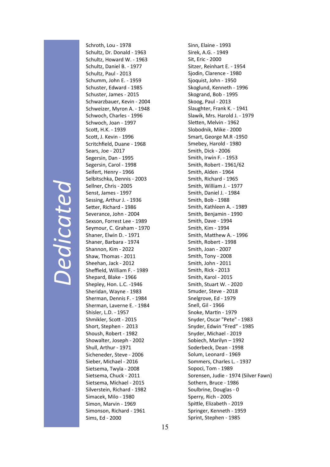### *Dedicated*  Dedicated

Schroth, Lou ‐ 1978 Schultz, Dr. Donald ‐ 1963 Schultz, Howard W. ‐ 1963 Schultz, Daniel B. ‐ 1977 Schultz, Paul ‐ 2013 Schumm, John E. ‐ 1959 Schuster, Edward ‐ 1985 Schuster, James ‐ 2015 Schwarzbauer, Kevin ‐ 2004 Schweizer, Myron A. ‐ 1948 Schwoch, Charles ‐ 1996 Schwoch, Joan ‐ 1997 Scott, H.K. - 1939 Scott, J. Kevin - 1996 Scritchfield, Duane ‐ 1968 Sears, Joe ‐ 2017 Segersin, Dan ‐ 1995 Segersin, Carol ‐ 1998 Seifert, Henry ‐ 1966 Selbitschka, Dennis ‐ 2003 Sellner, Chris ‐ 2005 Senst, James ‐ 1997 Sessing, Arthur J. ‐ 1936 Setter, Richard - 1986 Severance, John ‐ 2004 Sexson, Forrest Lee ‐ 1989 Seymour, C. Graham ‐ 1970 Shaner, Elwin D. ‐ 1971 Shaner, Barbara ‐ 1974 Shannon, Kim ‐ 2022 Shaw, Thomas ‐ 2011 Sheehan, Jack ‐ 2012 Sheffield, William F. ‐ 1989 Shepard, Blake ‐ 1966 Shepley, Hon. L.C. ‐1946 Sheridan, Wayne ‐ 1983 Sherman, Dennis F. ‐ 1984 Sherman, Laverne E. ‐ 1984 Shisler, L.D. ‐ 1957 Shmikler, Scott - 2015 Short, Stephen ‐ 2013 Shoush, Robert ‐ 1982 Showalter, Joseph ‐ 2002 Shull, Arthur ‐ 1971 Sicheneder, Steve ‐ 2006 Sieber, Michael ‐ 2016 Sietsema, Twyla ‐ 2008 Sietsema, Chuck ‐ 2011 Sietsema, Michael ‐ 2015 Silverstein, Richard ‐ 1982 Simacek, Milo ‐ 1980 Simon, Marvin ‐ 1969 Simonson, Richard ‐ 1961 Sims, Ed ‐ 2000

Sinn, Elaine ‐ 1993 Sirek, A.G. ‐ 1949 Sit, Eric ‐ 2000 Sitzer, Reinhart E. ‐ 1954 Sjodin, Clarence ‐ 1980 Sjoquist, John ‐ 1950 Skoglund, Kenneth ‐ 1996 Skogrand, Bob ‐ 1995 Skoog, Paul ‐ 2013 Slaughter, Frank K. ‐ 1941 Slawik, Mrs. Harold J. ‐ 1979 Sletten, Melvin - 1962 Slobodnik, Mike ‐ 2000 Smart, George M.R ‐1950 Smebey, Harold ‐ 1980 Smith, Dick ‐ 2006 Smith, Irwin F. ‐ 1953 Smith, Robert ‐ 1961/62 Smith, Alden ‐ 1964 Smith, Richard ‐ 1965 Smith, William J. ‐ 1977 Smith, Daniel J. ‐ 1984 Smith, Bob ‐ 1988 Smith, Kathleen A. ‐ 1989 Smith, Benjamin ‐ 1990 Smith, Dave ‐ 1994 Smith, Kim ‐ 1994 Smith, Matthew A. - 1996 Smith, Robert ‐ 1998 Smith, Joan ‐ 2007 Smith, Tony ‐ 2008 Smith, John ‐ 2011 Smith, Rick ‐ 2013 Smith, Karol ‐ 2015 Smith, Stuart W. ‐ 2020 Smuder, Steve ‐ 2018 Snelgrove, Ed ‐ 1979 Snell, Gil ‐ 1966 Snoke, Martin - 1979 Snyder, Oscar "Pete" ‐ 1983 Snyder, Edwin "Fred" ‐ 1985 Snyder, Michael ‐ 2019 Sobiech, Marilyn – 1992 Soderbeck, Dean ‐ 1998 Solum, Leonard ‐ 1969 Sommers, Charles L. ‐ 1937 Sopoci, Tom ‐ 1989 Sorensen, Judie ‐ 1974 (Silver Fawn) Sothern, Bruce ‐ 1986 Soulbrine, Douglas ‐ 0 Sperry, Rich ‐ 2005 Spittle, Elizabeth - 2019 Springer, Kenneth ‐ 1959 Sprint, Stephen ‐ 1985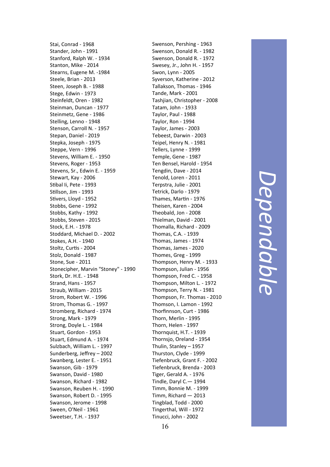Stai, Conrad ‐ 1968 Stander, John ‐ 1991 Stanford, Ralph W. ‐ 1934 Stanton, Mike ‐ 2014 Stearns, Eugene M. ‐1984 Steele, Brian ‐ 2013 Steen, Joseph B. ‐ 1988 Stege, Edwin ‐ 1973 Steinfeldt, Oren ‐ 1982 Steinman, Duncan ‐ 1977 Steinmetz, Gene ‐ 1986 Stelling, Lenno ‐ 1948 Stenson, Carroll N. ‐ 1957 Stepan, Daniel ‐ 2019 Stepka, Joseph ‐ 1975 Steppe, Vern ‐ 1996 Stevens, William E. ‐ 1950 Stevens, Roger ‐ 1953 Stevens, Sr., Edwin E. ‐ 1959 Stewart, Kay ‐ 2006 S Ɵbal Ii, Pete ‐ 1993 S Ɵllson, Jim ‐ 1993 S Ɵvers, Lloyd ‐ 1952 Stobbs, Gene ‐ 1992 Stobbs, Kathy ‐ 1992 Stobbs, Steven ‐ 2015 Stock, E.H. ‐ 1978 Stoddard, Michael D. ‐ 2002 Stokes, A.H. ‐ 1940 Stoltz, Curtis - 2004 Stolz, Donald ‐ 1987 Stone, Sue ‐ 2011 Stonecipher, Marvin "Stoney" ‐ 1990 Stork, Dr. H.E. ‐ 1948 Strand, Hans ‐ 1957 Straub, William ‐ 2015 Strom, Robert W. ‐ 1996 Strom, Thomas G. ‐ 1997 Stromberg, Richard ‐ 1974 Strong, Mark ‐ 1979 Strong, Doyle L. ‐ 1984 Stuart, Gordon ‐ 1953 Stuart, Edmund A. ‐ 1974 Sulzbach, William L. ‐ 1997 Sunderberg, Je ffrey – 2002 Swanberg, Lester E. ‐ 1951 Swanson, Gib ‐ 1979 Swanson, David ‐ 1980 Swanson, Richard ‐ 1982 Swanson, Reuben H. ‐ 1990 Swanson, Robert D. ‐ 1995 Swanson, Jerome ‐ 1998 Sween, O'Neil ‐ 1961 Sweetser, T.H. ‐ 1937

Swenson, Pershing ‐ 1963 Swenson, Donald R. ‐ 1982 Swenson, Donald R. ‐ 1972 Swesey, Jr., John H. ‐ 1957 Swon, Lynn ‐ 2005 Syverson, Katherine ‐ 2012 Tallakson, Thomas ‐ 1946 Tande, Mark ‐ 2001 Tashjian, Christopher ‐ 2008 Tatam, John ‐ 1933 Taylor, Paul ‐ 1988 Taylor, Ron ‐ 1994 Taylor, James ‐ 2003 Tebeest, Darwin ‐ 2003 Teipel, Henry N. ‐ 1981 Tellers, Lynne ‐ 1999 Temple, Gene ‐ 1987 Ten Bensel, Harold ‐ 1954 Tengdin, Dave ‐ 2014 Tenold, Loren ‐ 2011 Terpstra, Julie ‐ 2001 Tetrick, Darlo ‐ 1979 Thames, Martin - 1976 Theisen, Karen ‐ 2004 Theobald, Jon ‐ 2008 Thielman, David ‐ 2001 Thomalla, Richard ‐ 2009 Thomas, C.A. ‐ 1939 Thomas, James ‐ 1974 Thomas, James ‐ 2020 Thomes, Greg ‐ 1999 Thompson, Henry M. ‐ 1933 Thompson, Julian ‐ 1956 Thompson, Fred C. ‐ 1958 Thompson, Milton L. ‐ 1972 Thompson, Terry N. ‐ 1981 Thompson, Fr. Thomas ‐ 2010 Thomson, I. Lamon ‐ 1992 Thor finnson, Curt ‐ 1986 Thorn, Merlin ‐ 1995 Thorn, Helen ‐ 1997 Thornquist, H.T. ‐ 1939 Thornsjo, Oreland ‐ 1954 Thulin, Stanley – 1957 Thurston, Clyde ‐ 1999 Tiefenbruck, Grant F. ‐ 2002 Tiefenbruck, Brenda ‐ 2003 Tiger, Gerald A. ‐ 1976 Tindle, Daryl C.— 1994 Timm, Bonnie M. ‐ 1999 Timm, Richard — 2013 Tingblad, Todd ‐ 2000 Tingerthal, Will ‐ 1972 Tinucci, John ‐ 2002

*Dependable*  Dependable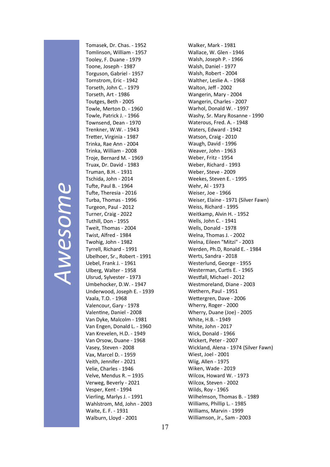#### *Awesome* Awesome

Tomasek, Dr. Chas. ‐ 1952 Tomlinson, William ‐ 1957 Tooley, F. Duane ‐ 1979 Toone, Joseph ‐ 1987 Torguson, Gabriel ‐ 1957 Tornstrom, Eric ‐ 1942 Torseth, John C. ‐ 1979 Torseth, Art ‐ 1986 Toutges, Beth ‐ 2005 Towle, Merton D. ‐ 1960 Towle, Patrick J. ‐ 1966 Townsend, Dean ‐ 1970 Trenkner, W.W. ‐ 1943 Tretter, Virginia - 1987 Trinka, Rae Ann ‐ 2004 Trinka, William ‐ 2008 Troje, Bernard M. ‐ 1969 Truax, Dr. David ‐ 1983 Truman, B.H. ‐ 1931 Tschida, John ‐ 2014 Tufte, Paul B. - 1964 Tufte, Theresia - 2016 Turba, Thomas ‐ 1996 Turgeon, Paul ‐ 2012 Turner, Craig ‐ 2022 Tuthill, Don ‐ 1955 Tweit, Thomas ‐ 2004 Twist, Alfred ‐ 1984 Twohig, John ‐ 1982 Tyrrell, Richard ‐ 1991 Ubelhoer, Sr., Robert ‐ 1991 Uebel, Frank J. ‐ 1961 Ulberg, Walter ‐ 1958 Ulsrud, Sylvester ‐ 1973 Umbehocker, D.W. ‐ 1947 Underwood, Joseph E. ‐ 1939 Vaala, T.O. ‐ 1968 Valencour, Gary ‐ 1978 Valentine, Daniel - 2008 Van Dyke, Malcolm ‐ 1981 Van Engen, Donald L. ‐ 1960 Van Krevelen, H.D. ‐ 1949 Van Orsow, Duane ‐ 1968 Vasey, Steven ‐ 2008 Vax, Marcel D. ‐ 1959 Veith, Jennifer ‐ 2021 Velie, Charles ‐ 1946 Velve, Mendus R. – 1935 Verweg, Beverly ‐ 2021 Vesper, Kent ‐ 1994 Vierling, Marlys J. ‐ 1991 Wahlstrom, Md, John ‐ 2003 Waite, E. F. ‐ 1931 Walburn, Lloyd ‐ 2001

Walker, Mark ‐ 1981 Wallace, W. Glen ‐ 1946 Walsh, Joseph P. ‐ 1966 Walsh, Daniel ‐ 1977 Walsh, Robert ‐ 2004 Walther, Leslie A. ‐ 1968 Walton, Jeff ‐ 2002 Wangerin, Mary ‐ 2004 Wangerin, Charles ‐ 2007 Warhol, Donald W. ‐ 1997 Washy, Sr. Mary Rosanne ‐ 1990 Waterous, Fred. A. ‐ 1948 Waters, Edward ‐ 1942 Watson, Craig ‐ 2010 Waugh, David ‐ 1996 Weaver, John ‐ 1963 Weber, Fritz ‐ 1954 Weber, Richard ‐ 1993 Weber, Steve ‐ 2009 Weekes, Steven E. ‐ 1995 Wehr, Al ‐ 1973 Weiser, Joe ‐ 1966 Weiser, Elaine ‐ 1971 (Silver Fawn) Weiss, Richard ‐ 1995 Weitkamp, Alvin H. ‐ 1952 Wells, John C. ‐ 1941 Wells, Donald ‐ 1978 Welna, Thomas J. ‐ 2002 Welna, Eileen "Mitzi" ‐ 2003 Werden, Ph.D, Ronald E. ‐ 1984 Werts, Sandra ‐ 2018 Westerlund, George ‐ 1955 Westerman, Curtis E. - 1965 Westfall, Michael - 2012 Westmoreland, Diane ‐ 2003 Wethern, Paul ‐ 1951 Wettergren, Dave - 2006 Wherry, Roger ‐ 2000 Wherry, Duane (Joe) ‐ 2005 White, H.B. ‐ 1949 White, John ‐ 2017 Wick, Donald ‐ 1966 Wickert, Peter ‐ 2007 Wickland, Alena ‐ 1974 (Silver Fawn) Wiest, Joel ‐ 2001 Wiig, Allen ‐ 1975 Wiken, Wade ‐ 2019 Wilcox, Howard W. ‐ 1973 Wilcox, Steven ‐ 2002 Wilds, Roy ‐ 1965 Wilhelmson, Thomas B. ‐ 1989 Williams, Phillip L. ‐ 1985 Williams, Marvin ‐ 1999 Williamson, Jr., Sam ‐ 2003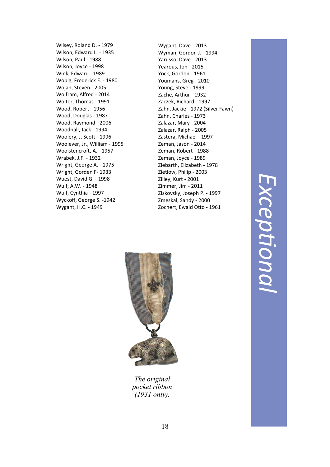Wilsey, Roland D. ‐ 1979 Wilson, Edward L. ‐ 1935 Wilson, Paul ‐ 1988 Wilson, Joyce ‐ 1998 Wink, Edward ‐ 1989 Wobig, Frederick E. ‐ 1980 Wojan, Steven ‐ 2005 Wolfram, Alfred ‐ 2014 Wolter, Thomas ‐ 1991 Wood, Robert ‐ 1956 Wood, Douglas ‐ 1987 Wood, Raymond ‐ 2006 Woodhall, Jack ‐ 1994 Woolery, J. Scott - 1996 Woolever, Jr., William ‐ 1995 Woolstencroft, A. - 1957 Wrabek, J.F. ‐ 1932 Wright, George A. ‐ 1975 Wright, Gorden F‐ 1933 Wuest, David G. ‐ 1998 Wulf, A.W. ‐ 1948 Wulf, Cynthia ‐ 1997 Wyckoff, George S. ‐1942 Wygant, H.C. ‐ 1949

Wygant, Dave ‐ 2013 Wyman, Gordon J. ‐ 1994 Yarusso, Dave ‐ 2013 Yearous, Jon ‐ 2015 Yock, Gordon ‐ 1961 Youmans, Greg ‐ 2010 Young, Steve ‐ 1999 Zache, Arthur ‐ 1932 Zaczek, Richard ‐ 1997 Zahn, Jackie ‐ 1972 (Silver Fawn) Zahn, Charles ‐ 1973 Zalazar, Mary ‐ 2004 Zalazar, Ralph ‐ 2005 Zastera, Michael ‐ 1997 Zeman, Jason ‐ 2014 Zeman, Robert ‐ 1988 Zeman, Joyce ‐ 1989 Ziebarth, Elizabeth ‐ 1978 Zietlow, Philip ‐ 2003 Zilley, Kurt ‐ 2001 Zimmer, Jim ‐ 2011 Ziskovsky, Joseph P. ‐ 1997 Zmeskal, Sandy ‐ 2000 Zochert, Ewald Otto - 1961





*The original pocket ribbon (1931 only).*